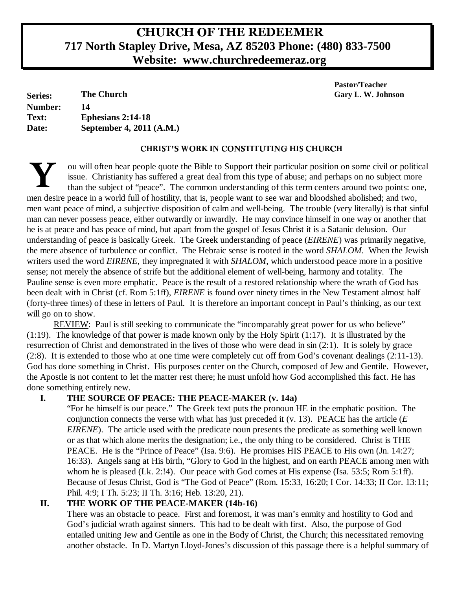# -- 
- **717 North Stapley Drive, Mesa, AZ 85203 Phone: (480) 833-7500 Website: www.churchredeemeraz.org**

| <b>The Church</b>        |
|--------------------------|
| 14                       |
| <b>Ephesians 2:14-18</b> |
| September 4, 2011 (A.M.) |
|                          |

**Pastor/Teacher Gary L. W. Johnson**

### **CHRIST'S WORK IN CONSTITUTING HIS CHURCH**

ou will often hear people quote the Bible to Support their particular position on some civil or political issue. Christianity has suffered a great deal from this type of abuse; and perhaps on no subject more than the subject of "peace". The common understanding of this term centers around two points: one, men desire peace in a world full of hostility, that is, people want to see war and bloodshed abolished; and two, men want peace of mind, a subjective disposition of calm and well-being. The trouble (very literally) is that sinful man can never possess peace, either outwardly or inwardly. He may convince himself in one way or another that he is at peace and has peace of mind, but apart from the gospel of Jesus Christ it is a Satanic delusion. Our understanding of peace is basically Greek. The Greek understanding of peace (*EIRENE*) was primarily negative, the mere absence of turbulence or conflict. The Hebraic sense is rooted in the word *SHALOM*. When the Jewish writers used the word *EIRENE*, they impregnated it with *SHALOM*, which understood peace more in a positive sense; not merely the absence of strife but the additional element of well-being, harmony and totality. The Pauline sense is even more emphatic. Peace is the result of a restored relationship where the wrath of God has been dealt with in Christ (cf. Rom 5:1ff), *EIRENE* is found over ninety times in the New Testament almost half (forty-three times) of these in letters of Paul. It is therefore an important concept in Paul's thinking, as our text will go on to show. Y

REVIEW: Paul is still seeking to communicate the "incomparably great power for us who believe" (1:19). The knowledge of that power is made known only by the Holy Spirit (1:17). It is illustrated by the resurrection of Christ and demonstrated in the lives of those who were dead in sin (2:1). It is solely by grace (2:8). It is extended to those who at one time were completely cut off from God's covenant dealings (2:11-13). God has done something in Christ. His purposes center on the Church, composed of Jew and Gentile. However, the Apostle is not content to let the matter rest there; he must unfold how God accomplished this fact. He has done something entirely new.

## **I. THE SOURCE OF PEACE: THE PEACE-MAKER (v. 14a)**

"For he himself is our peace." The Greek text puts the pronoun HE in the emphatic position. The conjunction connects the verse with what has just preceded it (v. 13). PEACE has the article (*E EIRENE*). The article used with the predicate noun presents the predicate as something well known or as that which alone merits the designation; i.e., the only thing to be considered. Christ is THE PEACE. He is the "Prince of Peace" (Isa. 9:6). He promises HIS PEACE to His own (Jn. 14:27; 16:33). Angels sang at His birth, "Glory to God in the highest, and on earth PEACE among men with whom he is pleased (Lk. 2:!4). Our peace with God comes at His expense (Isa. 53:5; Rom 5:1ff). Because of Jesus Christ, God is "The God of Peace" (Rom. 15:33, 16:20; I Cor. 14:33; II Cor. 13:11; Phil. 4:9; I Th. 5:23; II Th. 3:16; Heb. 13:20, 21).

## **II. THE WORK OF THE PEACE-MAKER (14b-16)**

There was an obstacle to peace. First and foremost, it was man's enmity and hostility to God and God's judicial wrath against sinners. This had to be dealt with first. Also, the purpose of God entailed uniting Jew and Gentile as one in the Body of Christ, the Church; this necessitated removing another obstacle. In D. Martyn Lloyd-Jones's discussion of this passage there is a helpful summary of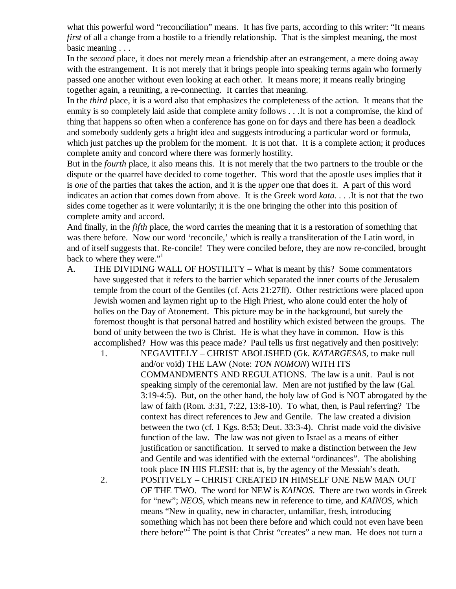what this powerful word "reconciliation" means. It has five parts, according to this writer: "It means *first* of all a change from a hostile to a friendly relationship. That is the simplest meaning, the most basic meaning . . .

In the *second* place, it does not merely mean a friendship after an estrangement, a mere doing away with the estrangement. It is not merely that it brings people into speaking terms again who formerly passed one another without even looking at each other. It means more; it means really bringing together again, a reuniting, a re-connecting. It carries that meaning.

In the *third* place, it is a word also that emphasizes the completeness of the action. It means that the enmity is so completely laid aside that complete amity follows . . .It is not a compromise, the kind of thing that happens so often when a conference has gone on for days and there has been a deadlock and somebody suddenly gets a bright idea and suggests introducing a particular word or formula, which just patches up the problem for the moment. It is not that. It is a complete action; it produces complete amity and concord where there was formerly hostility.

But in the *fourth* place, it also means this. It is not merely that the two partners to the trouble or the dispute or the quarrel have decided to come together. This word that the apostle uses implies that it is *one* of the parties that takes the action, and it is the *upper* one that does it. A part of this word indicates an action that comes down from above. It is the Greek word *kata. . . .*It is not that the two sides come together as it were voluntarily; it is the one bringing the other into this position of complete amity and accord.

And finally, in the *fifth* place, the word carries the meaning that it is a restoration of something that was there before. Now our word 'reconcile,' which is really a transliteration of the Latin word, in and of itself suggests that. Re-concile! They were conciled before, they are now re-conciled, brought back to where they were."<sup>1</sup>

A. THE DIVIDING WALL OF HOSTILITY – What is meant by this? Some commentators have suggested that it refers to the barrier which separated the inner courts of the Jerusalem temple from the court of the Gentiles (cf. Acts 21:27ff). Other restrictions were placed upon Jewish women and laymen right up to the High Priest, who alone could enter the holy of holies on the Day of Atonement. This picture may be in the background, but surely the foremost thought is that personal hatred and hostility which existed between the groups. The bond of unity between the two is Christ. He is what they have in common. How is this accomplished? How was this peace made? Paul tells us first negatively and then positively:

1. NEGAVITELY – CHRIST ABOLISHED (Gk. *KATARGESAS*, to make null and/or void) THE LAW (Note: *TON NOMON*) WITH ITS COMMANDMENTS AND REGULATIONS. The law is a unit. Paul is not speaking simply of the ceremonial law. Men are not justified by the law (Gal. 3:19-4:5). But, on the other hand, the holy law of God is NOT abrogated by the law of faith (Rom. 3:31, 7:22, 13:8-10). To what, then, is Paul referring? The context has direct references to Jew and Gentile. The law created a division between the two (cf. 1 Kgs. 8:53; Deut. 33:3-4). Christ made void the divisive function of the law. The law was not given to Israel as a means of either justification or sanctification. It served to make a distinction between the Jew and Gentile and was identified with the external "ordinances". The abolishing took place IN HIS FLESH: that is, by the agency of the Messiah's death. 2. POSITIVELY – CHRIST CREATED IN HIMSELF ONE NEW MAN OUT OF THE TWO. The word for NEW is *KAINOS*. There are two words in Greek for "new"; *NEOS*, which means new in reference to time, and *KAINOS*, which means "New in quality, new in character, unfamiliar, fresh, introducing something which has not been there before and which could not even have been there before"<sup>2</sup> The point is that Christ "creates" a new man. He does not turn a